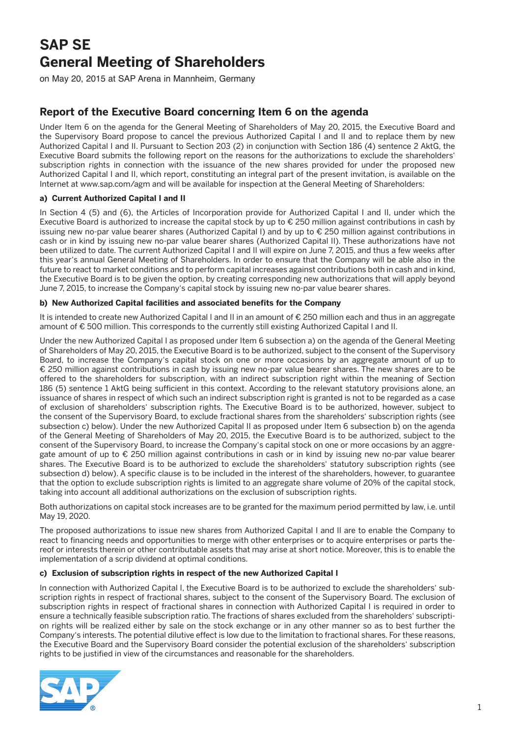# **SAP SE General Meeting of Shareholders**

on May 20, 2015 at SAP Arena in Mannheim, Germany

# **Report of the Executive Board concerning Item 6 on the agenda**

Under Item 6 on the agenda for the General Meeting of Shareholders of May 20, 2015, the Executive Board and the Supervisory Board propose to cancel the previous Authorized Capital I and II and to replace them by new Authorized Capital I and II. Pursuant to Section 203 (2) in conjunction with Section 186 (4) sentence 2 AktG, the Executive Board submits the following report on the reasons for the authorizations to exclude the shareholders' subscription rights in connection with the issuance of the new shares provided for under the proposed new Authorized Capital I and II, which report, constituting an integral part of the present invitation, is available on the Internet at www.sap.com/agm and will be available for inspection at the General Meeting of Shareholders:

## **a) Current Authorized Capital I and II**

In Section 4 (5) and (6), the Articles of Incorporation provide for Authorized Capital I and II, under which the Executive Board is authorized to increase the capital stock by up to € 250 million against contributions in cash by issuing new no-par value bearer shares (Authorized Capital I) and by up to € 250 million against contributions in cash or in kind by issuing new no-par value bearer shares (Authorized Capital II). These authorizations have not been utilized to date. The current Authorized Capital I and II will expire on June 7, 2015, and thus a few weeks after this year's annual General Meeting of Shareholders. In order to ensure that the Company will be able also in the future to react to market conditions and to perform capital increases against contributions both in cash and in kind, the Executive Board is to be given the option, by creating corresponding new authorizations that will apply beyond June 7, 2015, to increase the Company's capital stock by issuing new no-par value bearer shares.

### **b) New Authorized Capital facilities and associated benefits for the Company**

It is intended to create new Authorized Capital I and II in an amount of € 250 million each and thus in an aggregate amount of € 500 million. This corresponds to the currently still existing Authorized Capital I and II.

Under the new Authorized Capital I as proposed under Item 6 subsection a) on the agenda of the General Meeting of Shareholders of May 20, 2015, the Executive Board is to be authorized, subject to the consent of the Supervisory Board, to increase the Company's capital stock on one or more occasions by an aggregate amount of up to € 250 million against contributions in cash by issuing new no-par value bearer shares. The new shares are to be offered to the shareholders for subscription, with an indirect subscription right within the meaning of Section 186 (5) sentence 1 AktG being sufficient in this context. According to the relevant statutory provisions alone, an issuance of shares in respect of which such an indirect subscription right is granted is not to be regarded as a case of exclusion of shareholders' subscription rights. The Executive Board is to be authorized, however, subject to the consent of the Supervisory Board, to exclude fractional shares from the shareholders' subscription rights (see subsection c) below). Under the new Authorized Capital II as proposed under Item 6 subsection b) on the agenda of the General Meeting of Shareholders of May 20, 2015, the Executive Board is to be authorized, subject to the consent of the Supervisory Board, to increase the Company's capital stock on one or more occasions by an aggregate amount of up to € 250 million against contributions in cash or in kind by issuing new no-par value bearer shares. The Executive Board is to be authorized to exclude the shareholders' statutory subscription rights (see subsection d) below). A specific clause is to be included in the interest of the shareholders, however, to guarantee that the option to exclude subscription rights is limited to an aggregate share volume of 20% of the capital stock, taking into account all additional authorizations on the exclusion of subscription rights.

Both authorizations on capital stock increases are to be granted for the maximum period permitted by law, i.e. until May 19, 2020.

The proposed authorizations to issue new shares from Authorized Capital I and II are to enable the Company to react to financing needs and opportunities to merge with other enterprises or to acquire enterprises or parts thereof or interests therein or other contributable assets that may arise at short notice. Moreover, this is to enable the implementation of a scrip dividend at optimal conditions.

### **c) Exclusion of subscription rights in respect of the new Authorized Capital I**

In connection with Authorized Capital I, the Executive Board is to be authorized to exclude the shareholders' subscription rights in respect of fractional shares, subject to the consent of the Supervisory Board. The exclusion of subscription rights in respect of fractional shares in connection with Authorized Capital I is required in order to ensure a technically feasible subscription ratio. The fractions of shares excluded from the shareholders' subscription rights will be realized either by sale on the stock exchange or in any other manner so as to best further the Company's interests. The potential dilutive effect is low due to the limitation to fractional shares. For these reasons, the Executive Board and the Supervisory Board consider the potential exclusion of the shareholders' subscription rights to be justified in view of the circumstances and reasonable for the shareholders.

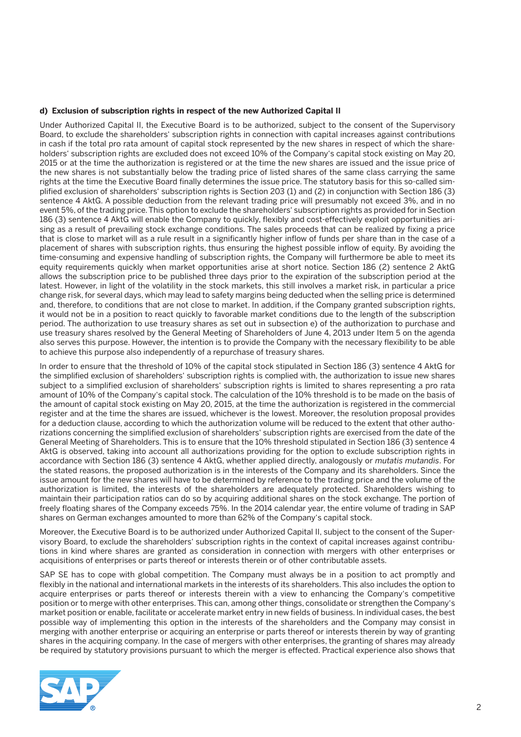#### **d) Exclusion of subscription rights in respect of the new Authorized Capital II**

Under Authorized Capital II, the Executive Board is to be authorized, subject to the consent of the Supervisory Board, to exclude the shareholders' subscription rights in connection with capital increases against contributions in cash if the total pro rata amount of capital stock represented by the new shares in respect of which the shareholders' subscription rights are excluded does not exceed 10% of the Company's capital stock existing on May 20, 2015 or at the time the authorization is registered or at the time the new shares are issued and the issue price of the new shares is not substantially below the trading price of listed shares of the same class carrying the same rights at the time the Executive Board finally determines the issue price. The statutory basis for this so-called simplified exclusion of shareholders' subscription rights is Section 203 (1) and (2) in conjunction with Section 186 (3) sentence 4 AktG. A possible deduction from the relevant trading price will presumably not exceed 3%, and in no event 5%, of the trading price. This option to exclude the shareholders' subscription rights as provided for in Section 186 (3) sentence 4 AktG will enable the Company to quickly, flexibly and cost-effectively exploit opportunities arising as a result of prevailing stock exchange conditions. The sales proceeds that can be realized by fixing a price that is close to market will as a rule result in a significantly higher inflow of funds per share than in the case of a placement of shares with subscription rights, thus ensuring the highest possible inflow of equity. By avoiding the time-consuming and expensive handling of subscription rights, the Company will furthermore be able to meet its equity requirements quickly when market opportunities arise at short notice. Section 186 (2) sentence 2 AktG allows the subscription price to be published three days prior to the expiration of the subscription period at the latest. However, in light of the volatility in the stock markets, this still involves a market risk, in particular a price change risk, for several days, which may lead to safety margins being deducted when the selling price is determined and, therefore, to conditions that are not close to market. In addition, if the Company granted subscription rights, it would not be in a position to react quickly to favorable market conditions due to the length of the subscription period. The authorization to use treasury shares as set out in subsection e) of the authorization to purchase and use treasury shares resolved by the General Meeting of Shareholders of June 4, 2013 under Item 5 on the agenda also serves this purpose. However, the intention is to provide the Company with the necessary flexibility to be able to achieve this purpose also independently of a repurchase of treasury shares.

In order to ensure that the threshold of 10% of the capital stock stipulated in Section 186 (3) sentence 4 AktG for the simplified exclusion of shareholders' subscription rights is complied with, the authorization to issue new shares subject to a simplified exclusion of shareholders' subscription rights is limited to shares representing a pro rata amount of 10% of the Company's capital stock. The calculation of the 10% threshold is to be made on the basis of the amount of capital stock existing on May 20, 2015, at the time the authorization is registered in the commercial register and at the time the shares are issued, whichever is the lowest. Moreover, the resolution proposal provides for a deduction clause, according to which the authorization volume will be reduced to the extent that other authorizations concerning the simplified exclusion of shareholders' subscription rights are exercised from the date of the General Meeting of Shareholders. This is to ensure that the 10% threshold stipulated in Section 186 (3) sentence 4 AktG is observed, taking into account all authorizations providing for the option to exclude subscription rights in accordance with Section 186 (3) sentence 4 AktG, whether applied directly, analogously or *mutatis mutandis*. For the stated reasons, the proposed authorization is in the interests of the Company and its shareholders. Since the issue amount for the new shares will have to be determined by reference to the trading price and the volume of the authorization is limited, the interests of the shareholders are adequately protected. Shareholders wishing to maintain their participation ratios can do so by acquiring additional shares on the stock exchange. The portion of freely floating shares of the Company exceeds 75%. In the 2014 calendar year, the entire volume of trading in SAP shares on German exchanges amounted to more than 62% of the Company's capital stock.

Moreover, the Executive Board is to be authorized under Authorized Capital II, subject to the consent of the Supervisory Board, to exclude the shareholders' subscription rights in the context of capital increases against contributions in kind where shares are granted as consideration in connection with mergers with other enterprises or acquisitions of enterprises or parts thereof or interests therein or of other contributable assets.

SAP SE has to cope with global competition. The Company must always be in a position to act promptly and flexibly in the national and international markets in the interests of its shareholders. This also includes the option to acquire enterprises or parts thereof or interests therein with a view to enhancing the Company's competitive position or to merge with other enterprises. This can, among other things, consolidate or strengthen the Company's market position or enable, facilitate or accelerate market entry in new fields of business. In individual cases, the best possible way of implementing this option in the interests of the shareholders and the Company may consist in merging with another enterprise or acquiring an enterprise or parts thereof or interests therein by way of granting shares in the acquiring company. In the case of mergers with other enterprises, the granting of shares may already be required by statutory provisions pursuant to which the merger is effected. Practical experience also shows that

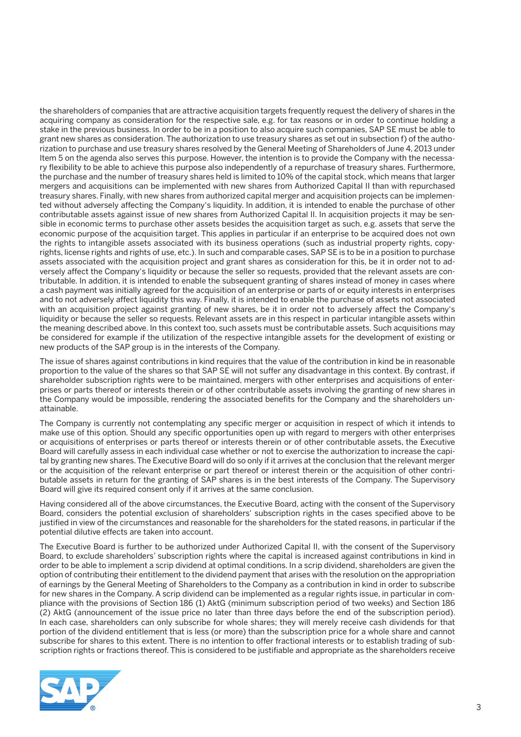the shareholders of companies that are attractive acquisition targets frequently request the delivery of shares in the acquiring company as consideration for the respective sale, e.g. for tax reasons or in order to continue holding a stake in the previous business. In order to be in a position to also acquire such companies, SAP SE must be able to grant new shares as consideration. The authorization to use treasury shares as set out in subsection f) of the authorization to purchase and use treasury shares resolved by the General Meeting of Shareholders of June 4, 2013 under Item 5 on the agenda also serves this purpose. However, the intention is to provide the Company with the necessary flexibility to be able to achieve this purpose also independently of a repurchase of treasury shares. Furthermore, the purchase and the number of treasury shares held is limited to 10% of the capital stock, which means that larger mergers and acquisitions can be implemented with new shares from Authorized Capital II than with repurchased treasury shares. Finally, with new shares from authorized capital merger and acquisition projects can be implemented without adversely affecting the Company's liquidity. In addition, it is intended to enable the purchase of other contributable assets against issue of new shares from Authorized Capital II. In acquisition projects it may be sensible in economic terms to purchase other assets besides the acquisition target as such, e.g. assets that serve the economic purpose of the acquisition target. This applies in particular if an enterprise to be acquired does not own the rights to intangible assets associated with its business operations (such as industrial property rights, copyrights, license rights and rights of use, etc.). In such and comparable cases, SAP SE is to be in a position to purchase assets associated with the acquisition project and grant shares as consideration for this, be it in order not to adversely affect the Company's liquidity or because the seller so requests, provided that the relevant assets are contributable. In addition, it is intended to enable the subsequent granting of shares instead of money in cases where a cash payment was initially agreed for the acquisition of an enterprise or parts of or equity interests in enterprises and to not adversely affect liquidity this way. Finally, it is intended to enable the purchase of assets not associated with an acquisition project against granting of new shares, be it in order not to adversely affect the Company's liquidity or because the seller so requests. Relevant assets are in this respect in particular intangible assets within the meaning described above. In this context too, such assets must be contributable assets. Such acquisitions may be considered for example if the utilization of the respective intangible assets for the development of existing or new products of the SAP group is in the interests of the Company.

The issue of shares against contributions in kind requires that the value of the contribution in kind be in reasonable proportion to the value of the shares so that SAP SE will not suffer any disadvantage in this context. By contrast, if shareholder subscription rights were to be maintained, mergers with other enterprises and acquisitions of enterprises or parts thereof or interests therein or of other contributable assets involving the granting of new shares in the Company would be impossible, rendering the associated benefits for the Company and the shareholders unattainable.

The Company is currently not contemplating any specific merger or acquisition in respect of which it intends to make use of this option. Should any specific opportunities open up with regard to mergers with other enterprises or acquisitions of enterprises or parts thereof or interests therein or of other contributable assets, the Executive Board will carefully assess in each individual case whether or not to exercise the authorization to increase the capital by granting new shares. The Executive Board will do so only if it arrives at the conclusion that the relevant merger or the acquisition of the relevant enterprise or part thereof or interest therein or the acquisition of other contributable assets in return for the granting of SAP shares is in the best interests of the Company. The Supervisory Board will give its required consent only if it arrives at the same conclusion.

Having considered all of the above circumstances, the Executive Board, acting with the consent of the Supervisory Board, considers the potential exclusion of shareholders' subscription rights in the cases specified above to be justified in view of the circumstances and reasonable for the shareholders for the stated reasons, in particular if the potential dilutive effects are taken into account.

The Executive Board is further to be authorized under Authorized Capital II, with the consent of the Supervisory Board, to exclude shareholders' subscription rights where the capital is increased against contributions in kind in order to be able to implement a scrip dividend at optimal conditions. In a scrip dividend, shareholders are given the option of contributing their entitlement to the dividend payment that arises with the resolution on the appropriation of earnings by the General Meeting of Shareholders to the Company as a contribution in kind in order to subscribe for new shares in the Company. A scrip dividend can be implemented as a regular rights issue, in particular in compliance with the provisions of Section 186 (1) AktG (minimum subscription period of two weeks) and Section 186 (2) AktG (announcement of the issue price no later than three days before the end of the subscription period). In each case, shareholders can only subscribe for whole shares; they will merely receive cash dividends for that portion of the dividend entitlement that is less (or more) than the subscription price for a whole share and cannot subscribe for shares to this extent. There is no intention to offer fractional interests or to establish trading of subscription rights or fractions thereof. This is considered to be justifiable and appropriate as the shareholders receive